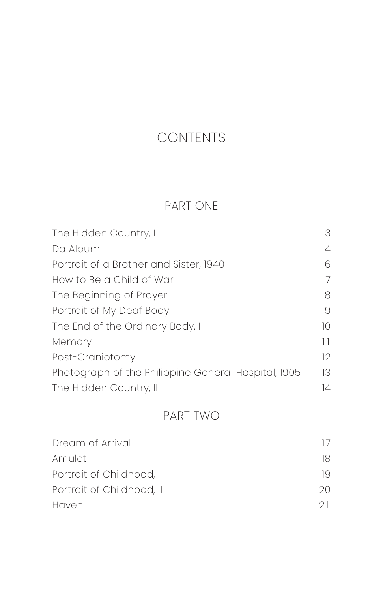## CONTENTS

## PART ONE

| The Hidden Country, I                               | 3   |
|-----------------------------------------------------|-----|
| Da Album                                            | 4   |
| Portrait of a Brother and Sister, 1940              | 6   |
| How to Be a Child of War                            | 7   |
| The Beginning of Prayer                             | 8   |
| Portrait of My Deaf Body                            | 9   |
| The End of the Ordinary Body, I                     | 10  |
| Memory                                              | 11  |
| Post-Craniotomy                                     | 12. |
| Photograph of the Philippine General Hospital, 1905 | 13. |
| The Hidden Country, II                              | 14  |

## PART TWO

| Dream of Arrival          |    |
|---------------------------|----|
| Amulet                    | 18 |
| Portrait of Childhood, I  | 19 |
| Portrait of Childhood, II | 20 |
| Haven                     | 21 |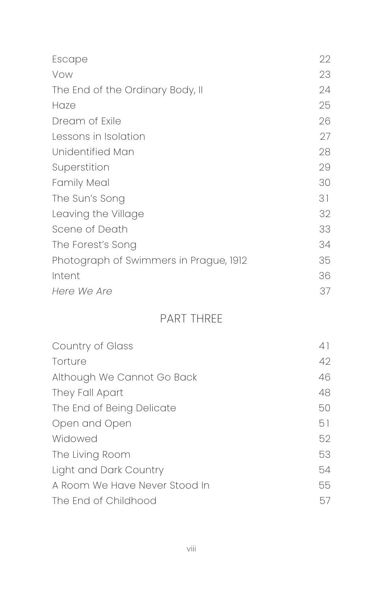| Escape                                 | 22 |
|----------------------------------------|----|
| Vow                                    | 23 |
| The End of the Ordinary Body, II       | 24 |
| Haze                                   | 25 |
| Dream of Exile                         | 26 |
| Lessons in Isolation                   | 27 |
| Unidentified Man                       | 28 |
| Superstition                           | 29 |
| <b>Family Meal</b>                     | 30 |
| The Sun's Song                         | 31 |
| Leaving the Village                    | 32 |
| Scene of Death                         | 33 |
| The Forest's Song                      | 34 |
| Photograph of Swimmers in Prague, 1912 | 35 |
| Intent                                 | 36 |
| Here We Are                            | 37 |

## PART THREE

| Country of Glass              | 41 |
|-------------------------------|----|
| Torture                       | 42 |
| Although We Cannot Go Back    | 46 |
| They Fall Apart               | 48 |
| The End of Being Delicate     | 50 |
| Open and Open                 | 51 |
| Widowed                       | 52 |
| The Living Room               | 53 |
| Light and Dark Country        | 54 |
| A Room We Have Never Stood In | 55 |
| The Fnd of Childhood          | 57 |